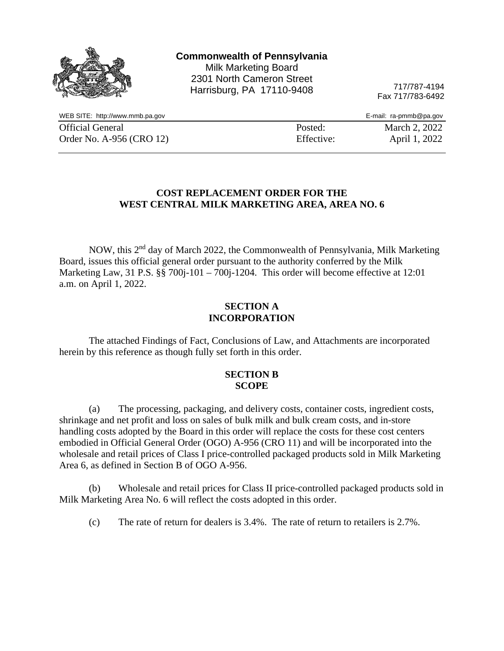|                                 | <b>Commonwealth of Pennsylvania</b><br><b>Milk Marketing Board</b><br>2301 North Cameron Street<br>Harrisburg, PA 17110-9408 | 717/787-4194<br>Fax 717/783-6492 |
|---------------------------------|------------------------------------------------------------------------------------------------------------------------------|----------------------------------|
| WEB SITE: http://www.mmb.pa.gov |                                                                                                                              | E-mail: ra-pmmb@pa.gov           |
| <b>Official General</b>         | Posted:                                                                                                                      | March 2, 2022                    |
| Order No. A-956 (CRO 12)        |                                                                                                                              | April 1, 2022<br>Effective:      |

## **COST REPLACEMENT ORDER FOR THE WEST CENTRAL MILK MARKETING AREA, AREA NO. 6**

NOW, this 2nd day of March 2022, the Commonwealth of Pennsylvania, Milk Marketing Board, issues this official general order pursuant to the authority conferred by the Milk Marketing Law, 31 P.S. §§ 700*j*-101 – 700*j*-1204. This order will become effective at 12:01 a.m. on April 1, 2022.

### **SECTION A INCORPORATION**

The attached Findings of Fact, Conclusions of Law, and Attachments are incorporated herein by this reference as though fully set forth in this order.

#### **SECTION B SCOPE**

(a) The processing, packaging, and delivery costs, container costs, ingredient costs, shrinkage and net profit and loss on sales of bulk milk and bulk cream costs, and in-store handling costs adopted by the Board in this order will replace the costs for these cost centers embodied in Official General Order (OGO) A-956 (CRO 11) and will be incorporated into the wholesale and retail prices of Class I price-controlled packaged products sold in Milk Marketing Area 6, as defined in Section B of OGO A-956.

(b) Wholesale and retail prices for Class II price-controlled packaged products sold in Milk Marketing Area No. 6 will reflect the costs adopted in this order.

(c) The rate of return for dealers is 3.4%. The rate of return to retailers is 2.7%.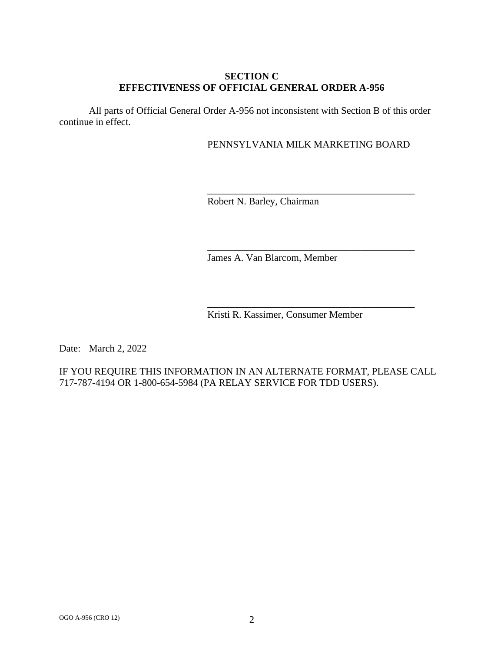## **SECTION C EFFECTIVENESS OF OFFICIAL GENERAL ORDER A-956**

All parts of Official General Order A-956 not inconsistent with Section B of this order continue in effect.

## PENNSYLVANIA MILK MARKETING BOARD

\_\_\_\_\_\_\_\_\_\_\_\_\_\_\_\_\_\_\_\_\_\_\_\_\_\_\_\_\_\_\_\_\_\_\_\_\_\_\_\_\_\_

\_\_\_\_\_\_\_\_\_\_\_\_\_\_\_\_\_\_\_\_\_\_\_\_\_\_\_\_\_\_\_\_\_\_\_\_\_\_\_\_\_\_

\_\_\_\_\_\_\_\_\_\_\_\_\_\_\_\_\_\_\_\_\_\_\_\_\_\_\_\_\_\_\_\_\_\_\_\_\_\_\_\_\_\_

Robert N. Barley, Chairman

James A. Van Blarcom, Member

Kristi R. Kassimer, Consumer Member

Date: March 2, 2022

IF YOU REQUIRE THIS INFORMATION IN AN ALTERNATE FORMAT, PLEASE CALL 717-787-4194 OR 1-800-654-5984 (PA RELAY SERVICE FOR TDD USERS).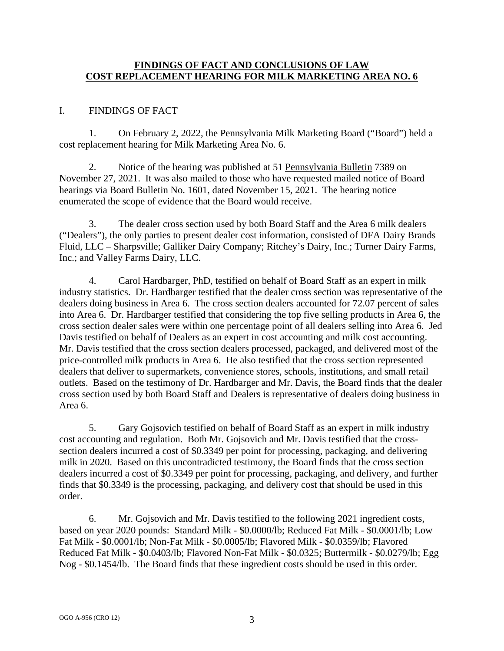## **FINDINGS OF FACT AND CONCLUSIONS OF LAW COST REPLACEMENT HEARING FOR MILK MARKETING AREA NO. 6**

# I. FINDINGS OF FACT

1. On February 2, 2022, the Pennsylvania Milk Marketing Board ("Board") held a cost replacement hearing for Milk Marketing Area No. 6.

2. Notice of the hearing was published at 51 Pennsylvania Bulletin 7389 on November 27, 2021. It was also mailed to those who have requested mailed notice of Board hearings via Board Bulletin No. 1601, dated November 15, 2021. The hearing notice enumerated the scope of evidence that the Board would receive.

3. The dealer cross section used by both Board Staff and the Area 6 milk dealers ("Dealers"), the only parties to present dealer cost information, consisted of DFA Dairy Brands Fluid, LLC – Sharpsville; Galliker Dairy Company; Ritchey's Dairy, Inc.; Turner Dairy Farms, Inc.; and Valley Farms Dairy, LLC.

4. Carol Hardbarger, PhD, testified on behalf of Board Staff as an expert in milk industry statistics. Dr. Hardbarger testified that the dealer cross section was representative of the dealers doing business in Area 6. The cross section dealers accounted for 72.07 percent of sales into Area 6. Dr. Hardbarger testified that considering the top five selling products in Area 6, the cross section dealer sales were within one percentage point of all dealers selling into Area 6. Jed Davis testified on behalf of Dealers as an expert in cost accounting and milk cost accounting. Mr. Davis testified that the cross section dealers processed, packaged, and delivered most of the price-controlled milk products in Area 6. He also testified that the cross section represented dealers that deliver to supermarkets, convenience stores, schools, institutions, and small retail outlets. Based on the testimony of Dr. Hardbarger and Mr. Davis, the Board finds that the dealer cross section used by both Board Staff and Dealers is representative of dealers doing business in Area 6.

5. Gary Gojsovich testified on behalf of Board Staff as an expert in milk industry cost accounting and regulation. Both Mr. Gojsovich and Mr. Davis testified that the crosssection dealers incurred a cost of \$0.3349 per point for processing, packaging, and delivering milk in 2020. Based on this uncontradicted testimony, the Board finds that the cross section dealers incurred a cost of \$0.3349 per point for processing, packaging, and delivery, and further finds that \$0.3349 is the processing, packaging, and delivery cost that should be used in this order.

6. Mr. Gojsovich and Mr. Davis testified to the following 2021 ingredient costs, based on year 2020 pounds: Standard Milk - \$0.0000/lb; Reduced Fat Milk - \$0.0001/lb; Low Fat Milk - \$0.0001/lb; Non-Fat Milk - \$0.0005/lb; Flavored Milk - \$0.0359/lb; Flavored Reduced Fat Milk - \$0.0403/lb; Flavored Non-Fat Milk - \$0.0325; Buttermilk - \$0.0279/lb; Egg Nog - \$0.1454/lb. The Board finds that these ingredient costs should be used in this order.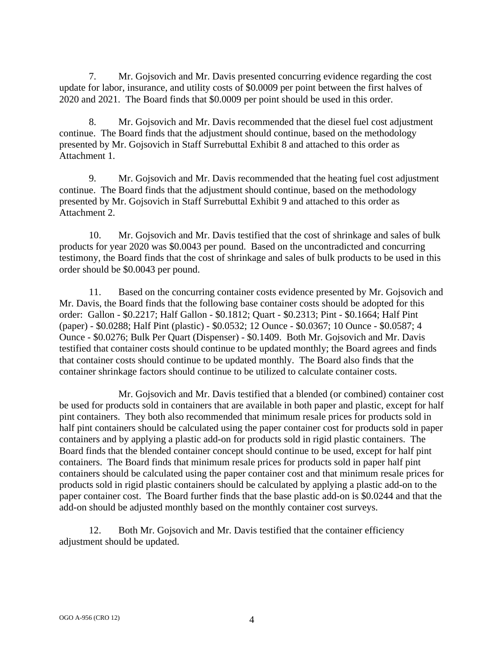7. Mr. Gojsovich and Mr. Davis presented concurring evidence regarding the cost update for labor, insurance, and utility costs of \$0.0009 per point between the first halves of 2020 and 2021. The Board finds that \$0.0009 per point should be used in this order.

8. Mr. Gojsovich and Mr. Davis recommended that the diesel fuel cost adjustment continue. The Board finds that the adjustment should continue, based on the methodology presented by Mr. Gojsovich in Staff Surrebuttal Exhibit 8 and attached to this order as Attachment 1.

9. Mr. Gojsovich and Mr. Davis recommended that the heating fuel cost adjustment continue. The Board finds that the adjustment should continue, based on the methodology presented by Mr. Gojsovich in Staff Surrebuttal Exhibit 9 and attached to this order as Attachment 2.

10. Mr. Gojsovich and Mr. Davis testified that the cost of shrinkage and sales of bulk products for year 2020 was \$0.0043 per pound. Based on the uncontradicted and concurring testimony, the Board finds that the cost of shrinkage and sales of bulk products to be used in this order should be \$0.0043 per pound.

11. Based on the concurring container costs evidence presented by Mr. Gojsovich and Mr. Davis, the Board finds that the following base container costs should be adopted for this order: Gallon - \$0.2217; Half Gallon - \$0.1812; Quart - \$0.2313; Pint - \$0.1664; Half Pint (paper) - \$0.0288; Half Pint (plastic) - \$0.0532; 12 Ounce - \$0.0367; 10 Ounce - \$0.0587; 4 Ounce - \$0.0276; Bulk Per Quart (Dispenser) - \$0.1409. Both Mr. Gojsovich and Mr. Davis testified that container costs should continue to be updated monthly; the Board agrees and finds that container costs should continue to be updated monthly. The Board also finds that the container shrinkage factors should continue to be utilized to calculate container costs.

Mr. Gojsovich and Mr. Davis testified that a blended (or combined) container cost be used for products sold in containers that are available in both paper and plastic, except for half pint containers. They both also recommended that minimum resale prices for products sold in half pint containers should be calculated using the paper container cost for products sold in paper containers and by applying a plastic add-on for products sold in rigid plastic containers. The Board finds that the blended container concept should continue to be used, except for half pint containers. The Board finds that minimum resale prices for products sold in paper half pint containers should be calculated using the paper container cost and that minimum resale prices for products sold in rigid plastic containers should be calculated by applying a plastic add-on to the paper container cost. The Board further finds that the base plastic add-on is \$0.0244 and that the add-on should be adjusted monthly based on the monthly container cost surveys.

12. Both Mr. Gojsovich and Mr. Davis testified that the container efficiency adjustment should be updated.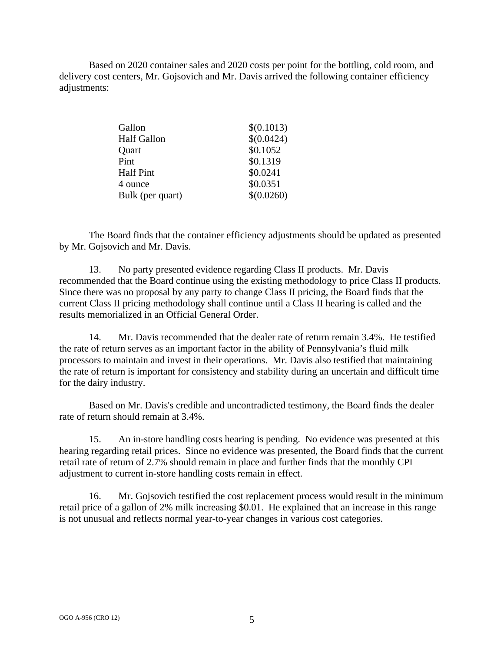Based on 2020 container sales and 2020 costs per point for the bottling, cold room, and delivery cost centers, Mr. Gojsovich and Mr. Davis arrived the following container efficiency adjustments:

| \$(0.1013) |
|------------|
| \$(0.0424) |
| \$0.1052   |
| \$0.1319   |
| \$0.0241   |
| \$0.0351   |
| \$(0.0260) |
|            |

The Board finds that the container efficiency adjustments should be updated as presented by Mr. Gojsovich and Mr. Davis.

13. No party presented evidence regarding Class II products. Mr. Davis recommended that the Board continue using the existing methodology to price Class II products. Since there was no proposal by any party to change Class II pricing, the Board finds that the current Class II pricing methodology shall continue until a Class II hearing is called and the results memorialized in an Official General Order.

14. Mr. Davis recommended that the dealer rate of return remain 3.4%. He testified the rate of return serves as an important factor in the ability of Pennsylvania's fluid milk processors to maintain and invest in their operations. Mr. Davis also testified that maintaining the rate of return is important for consistency and stability during an uncertain and difficult time for the dairy industry.

Based on Mr. Davis's credible and uncontradicted testimony, the Board finds the dealer rate of return should remain at 3.4%.

15. An in-store handling costs hearing is pending. No evidence was presented at this hearing regarding retail prices. Since no evidence was presented, the Board finds that the current retail rate of return of 2.7% should remain in place and further finds that the monthly CPI adjustment to current in-store handling costs remain in effect.

16. Mr. Gojsovich testified the cost replacement process would result in the minimum retail price of a gallon of 2% milk increasing \$0.01. He explained that an increase in this range is not unusual and reflects normal year-to-year changes in various cost categories.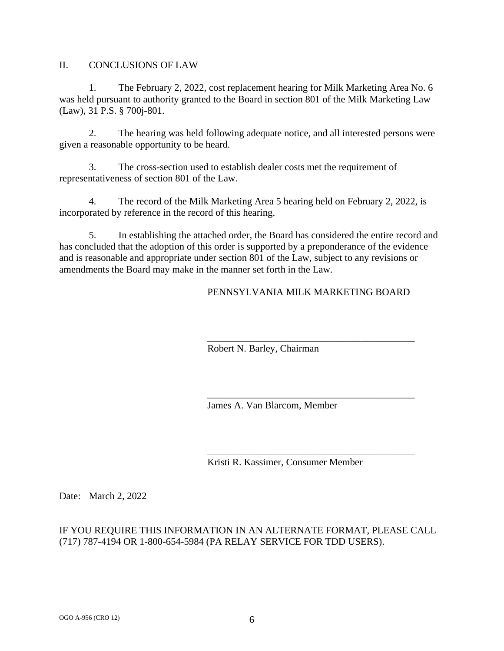## II. CONCLUSIONS OF LAW

1. The February 2, 2022, cost replacement hearing for Milk Marketing Area No. 6 was held pursuant to authority granted to the Board in section 801 of the Milk Marketing Law (Law), 31 P.S. § 700j-801.

2. The hearing was held following adequate notice, and all interested persons were given a reasonable opportunity to be heard.

3. The cross-section used to establish dealer costs met the requirement of representativeness of section 801 of the Law.

4. The record of the Milk Marketing Area 5 hearing held on February 2, 2022, is incorporated by reference in the record of this hearing.

5. In establishing the attached order, the Board has considered the entire record and has concluded that the adoption of this order is supported by a preponderance of the evidence and is reasonable and appropriate under section 801 of the Law, subject to any revisions or amendments the Board may make in the manner set forth in the Law.

# PENNSYLVANIA MILK MARKETING BOARD

\_\_\_\_\_\_\_\_\_\_\_\_\_\_\_\_\_\_\_\_\_\_\_\_\_\_\_\_\_\_\_\_\_\_\_\_\_\_\_\_\_\_

\_\_\_\_\_\_\_\_\_\_\_\_\_\_\_\_\_\_\_\_\_\_\_\_\_\_\_\_\_\_\_\_\_\_\_\_\_\_\_\_\_\_

\_\_\_\_\_\_\_\_\_\_\_\_\_\_\_\_\_\_\_\_\_\_\_\_\_\_\_\_\_\_\_\_\_\_\_\_\_\_\_\_\_\_

Robert N. Barley, Chairman

James A. Van Blarcom, Member

Kristi R. Kassimer, Consumer Member

Date: March 2, 2022

# IF YOU REQUIRE THIS INFORMATION IN AN ALTERNATE FORMAT, PLEASE CALL (717) 787-4194 OR 1-800-654-5984 (PA RELAY SERVICE FOR TDD USERS).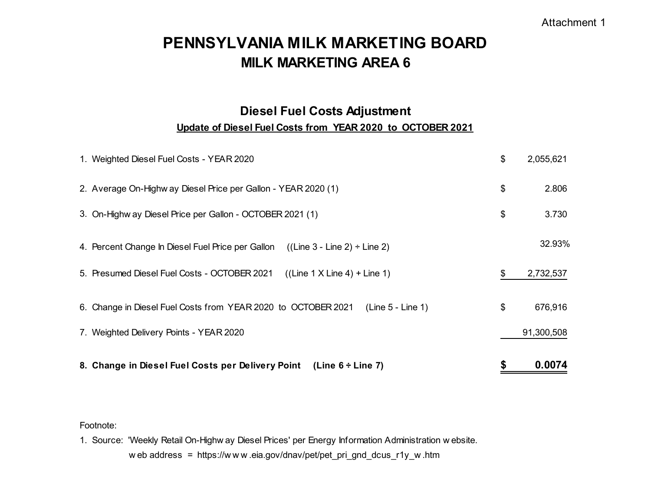# Attachment 1

# **PENNSYLVANIA MILK MARKETING BOARDMILK MARKETING AREA 6**

# **Update of Diesel Fuel Costs from YEAR 2020 to OCTOBER 2021 Diesel Fuel Costs Adjustment**

| 8. Change in Diesel Fuel Costs per Delivery Point (Line 6 ÷ Line 7)                    | 0.0074          |
|----------------------------------------------------------------------------------------|-----------------|
| 7. Weighted Delivery Points - YEAR 2020                                                | 91,300,508      |
| 6. Change in Diesel Fuel Costs from YEAR 2020 to OCTOBER 2021<br>(Line 5 - Line 1)     | \$<br>676,916   |
| 5. Presumed Diesel Fuel Costs - OCTOBER 2021<br>$((Line 1 X Line 4) + Line 1)$         | \$<br>2,732,537 |
| 4. Percent Change In Diesel Fuel Price per Gallon<br>$((Line 3 - Line 2) \div Line 2)$ | 32.93%          |
| 3. On-Highw ay Diesel Price per Gallon - OCTOBER 2021 (1)                              | \$<br>3.730     |
| 2. Average On-Highw ay Diesel Price per Gallon - YEAR 2020 (1)                         | \$<br>2.806     |
| 1. Weighted Diesel Fuel Costs - YEAR 2020                                              | \$<br>2,055,621 |

### Footnote:

1. Source: 'Weekly Retail On-Highw ay Diesel Prices' per Energy Information Administration w ebsite. <sup>w</sup> eb address = https://w <sup>w</sup> <sup>w</sup> .eia.gov/dnav/pet/pet\_pri\_gnd\_dcus\_r1y\_w .htm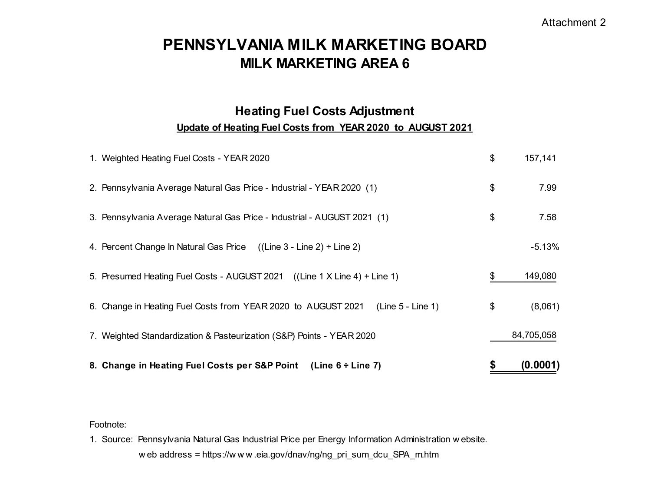# Attachment 2

# **PENNSYLVANIA MILK MARKETING BOARDMILK MARKETING AREA 6**

# **Heating Fuel Costs Adjustment Update of Heating Fuel Costs from YEAR 2020 to AUGUST 2021**

| 8. Change in Heating Fuel Costs per S&P Point (Line 6 ÷ Line 7)                      | \$<br>(0.0001) |
|--------------------------------------------------------------------------------------|----------------|
| 7. Weighted Standardization & Pasteurization (S&P) Points - YEAR 2020                | 84,705,058     |
| 6. Change in Heating Fuel Costs from YEAR 2020 to AUGUST 2021<br>$(Line 5 - Line 1)$ | \$<br>(8,061)  |
| 5. Presumed Heating Fuel Costs - AUGUST 2021 ((Line 1 X Line 4) + Line 1)            | \$<br>149,080  |
| 4. Percent Change In Natural Gas Price $((Line 3 - Line 2) \div Line 2)$             | $-5.13%$       |
| 3. Pennsylvania Average Natural Gas Price - Industrial - AUGUST 2021 (1)             | \$<br>7.58     |
| 2. Pennsylvania Average Natural Gas Price - Industrial - YEAR 2020 (1)               | \$<br>7.99     |
| 1. Weighted Heating Fuel Costs - YEAR 2020                                           | \$<br>157,141  |

### Footnote:

1. Source: Pennsylvania Natural Gas Industrial Price per Energy Information Administration w ebsite. w eb address = https://w w w .eia.gov/dnav/ng/ng\_pri\_sum\_dcu\_SPA\_m.htm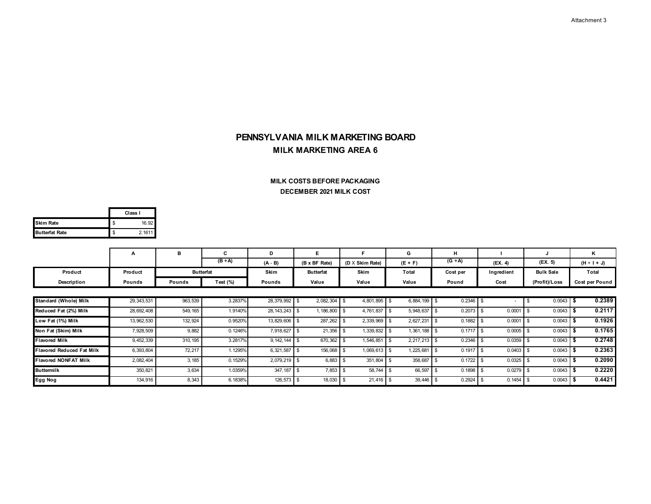#### **DECEMBER 2021 MILK COST MILK COSTS BEFORE PACKAGING**

|                       | Class I      |
|-----------------------|--------------|
| <b>Skim Rate</b>      | \$<br>16.92  |
| <b>Butterfat Rate</b> | \$<br>2.1611 |

|                                  | А            | в        | C                | D                | E.               |                        | G              | н           |            |                  | Κ              |
|----------------------------------|--------------|----------|------------------|------------------|------------------|------------------------|----------------|-------------|------------|------------------|----------------|
|                                  |              |          | $(B \div A)$     | $(A - B)$        | (B x BF Rate)    | $(D \times$ Skim Rate) | $(E + F)$      | $(G + A)$   | (EX. 4)    | (FX. 5)          | $(H + I + J)$  |
| Product                          | Product      |          | <b>Butterfat</b> | Skim             | <b>Butterfat</b> | Skim                   | Total          | Cost per    | Ingredient | <b>Bulk Sale</b> | Total          |
| Description                      | Pounds       | Pounds   | Test $(\%)$      | Pounds           | Value            | Value                  | Value          | Pound       | Cost       | (Profit)/Loss    | Cost per Pound |
|                                  |              |          |                  |                  |                  |                        |                |             |            |                  |                |
| Standard (Whole) Milk            | 29, 343, 531 | 963,539  | 3.2837%          | 28,379,992 \$    | $2,082,304$ \$   | 4,801,895 \$           | 6,884,199 \$   | $0.2346$ \$ |            | $0.0043$ \$      | 0.2389         |
| Reduced Fat (2%) Milk            | 28, 692, 408 | 549, 165 | 1.9140%          | 28, 143, 243 \$  | 1,186,800 \$     | 4,761,837 \$           | 5,948,637 \$   | $0.2073$ \$ | 0.0001     | 0.0043           | 0.2117         |
| Low Fat (1%) Milk                | 13,962,530   | 132,924  | 0.9520%          | 13,829,606 \$    | 287,262          | 2,339,969 \$           | 2,627,231 \$   | $0.1882$ \$ | 0.0001     | 0.0043           | 0.1926         |
| Non Fat (Skim) Milk              | 7,928,509    | 9,882    | 0.1246%          | 7,918,627        | 21,356           | 1,339,832              | 1,361,188      | 0.1717      | 0.0005     | 0.0043           | 0.1765         |
| <b>Flavored Milk</b>             | 9, 452, 339  | 310, 195 | 3.2817%          | $9, 142, 144$ \$ | 670,362          | 1,546,851              | $2,217,213$ \$ | 0.2346      | 0.0359     | 0.0043           | 0.2748         |
| <b>Flavored Reduced Fat Milk</b> | 6, 393, 804  | 72,217   | 1.1295%          | $6,321,587$ \$   | 156,068 \$       | $1,069,613$ \$         | .225,681       | 0.1917      | 0.0403     | 0.0043           | 0.2363         |
| <b>Flavored NONFAT Milk</b>      | 2,082,404    | 3,185    | 0.1529%          | 2,079,219 \$     | 6,883            | 351,804 \$             | 358,687        | 0.1722      | 0.0325     | 0.0043           | 0.2090         |
| <b>Buttermilk</b>                | 350,821      | 3,634    | 1.0359%          | 347, 187 \$      | $7,853$ \$       | 58.744 \$              | 66,597 \$      | $0.1898$ \$ | 0.0279     |                  | 0.2220         |
| Egg Nog                          | 134,916      | 8,343    | 6.1838%          | 126,573 \$       | 18,030           | $21,416$ \$            | 39,446         | 0.2924      | 0.1454     | $0.0043$ :       | 0.4421         |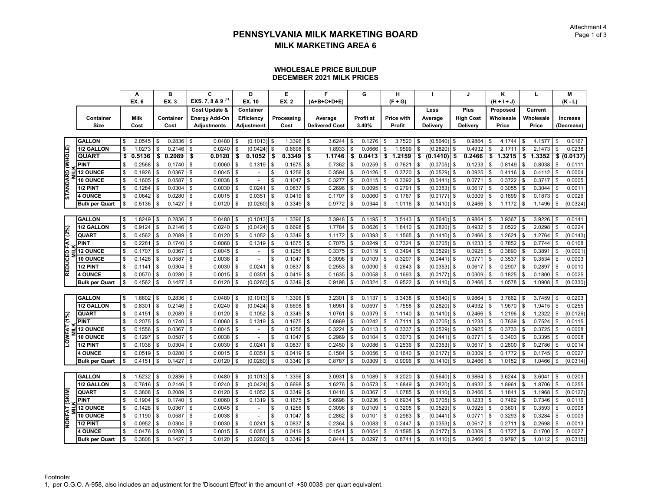#### **WHOLESALE PRICE BUILDUPDECEMBER 2021 MILK PRICES**

|                  |                       | A            |     | в         |          | C                            |      | D                        | E            |              | F                     | G            |     | н                 |          |               |          | $\mathbf{J}$     |      | ĸ             |               | L         |          | М           |
|------------------|-----------------------|--------------|-----|-----------|----------|------------------------------|------|--------------------------|--------------|--------------|-----------------------|--------------|-----|-------------------|----------|---------------|----------|------------------|------|---------------|---------------|-----------|----------|-------------|
|                  |                       | <b>EX. 6</b> |     | EX. 3     |          | EXS. 7, 8 & 9 <sup>(1)</sup> |      | EX. 10                   | EX. 2        |              | (A+B+C+D+E)           |              |     | $(F + G)$         |          |               |          |                  |      | $(H + I + J)$ |               |           |          | $(K - L)$   |
|                  |                       |              |     |           |          | Cost Update &                |      | Container                |              |              |                       |              |     |                   |          | Less          |          | Plus             |      | Proposed      |               | Current   |          |             |
|                  | Container             | <b>Milk</b>  |     | Container |          | <b>Energy Add-On</b>         |      | Efficiency               | Processing   |              | Average               | Profit at    |     | <b>Price with</b> |          | Average       |          | <b>High Cost</b> |      | Wholesale     |               | Wholesale |          | Increase    |
|                  | Size                  | Cost         |     | Cost      |          | <b>Adjustments</b>           |      | Adjustment               | Cost         |              | <b>Delivered Cost</b> | 3.40%        |     | Profit            |          | Delivery      |          | Delivery         |      | Price         |               | Price     |          | (Decrease)  |
|                  |                       |              |     |           |          |                              |      |                          |              |              |                       |              |     |                   |          |               |          |                  |      |               |               |           |          |             |
|                  | <b>GALLON</b>         | \$<br>2.0545 | \$  | 0.2836    | l \$     | 0.0480                       | - \$ | $(0.1013)$ \$            | 1.3396       | \$           | 3.6244                | \$<br>0.1276 | \$  | 3.7520            | \$       | $(0.5640)$ \$ |          | 0.9864           | \$   | 4.1744        | \$            | 4.1577    | \$       | 0.0167      |
|                  | 1/2 GALLON            | \$<br>1.0273 | \$  | 0.2146    | \$       | 0.0240                       |      | (0.0424)                 | \$<br>0.6698 | \$           | 1.8933                | \$<br>0.0666 | \$  | 1.9599            | \$       | (0.2820)      | \$       | 0.4932           |      | 2.171         | \$            | 2.1473    | \$       | 0.0238      |
|                  | <b>QUART</b>          | \$<br>0.5136 | \$  | 0.2089    | \$       | 0.0120                       | \$   | 0.1052                   | \$<br>0.3349 | \$           | 1.1746                | \$<br>0.0413 | \$  | 1.2159            | \$       | (0.1410)      | \$       | 0.2466           |      | 1.3215        | \$            | 1.3352    |          | \$ (0.0137) |
|                  | <b>PINT</b>           | 0.2568       | \$  | 0.1740    | \$       | 0.0060                       |      | 0.1319                   | \$<br>0.1675 | \$           | 0.7362                | \$<br>0.0259 |     | 0.7621            | \$       | (0.0705)      | \$       | 0.1233           | \$   | 0.8149        | \$            | 0.8038    | \$       | 0.0111      |
|                  | <b>12 OUNCE</b>       | \$<br>0.1926 | \$  | 0.0367    | \$       | 0.0045                       | \$   | $\overline{a}$           | \$<br>0.1256 | \$           | 0.3594                | \$<br>0.0126 | \$  | 0.3720            | \$       | (0.0529)      | \$       | 0.0925           |      | 0.4116        | \$            | 0.4112    | \$       | 0.0004      |
|                  | 10 OUNCE              | 0.1605       | \$  | 0.0587    | \$       | 0.0038                       |      |                          | \$<br>0.1047 | \$           | 0.3277                | \$<br>0.0115 |     | 0.3392            | \$       | (0.0441)      | \$       | 0.0771           |      | 0.3722        | \$            | 0.3717    | \$       | 0.0005      |
|                  | 1/2 PINT              | 0.1284       | \$  | 0.0304    | \$       | 0.0030                       |      | 0.0241                   | \$<br>0.0837 | $\mathbb{S}$ | 0.2696                | \$<br>0.0095 |     | 0.2791            | \$       | (0.0353)      | \$       | 0.0617           | \$   | 0.3055        | \$            | 0.3044    | <b>S</b> | 0.0011      |
| STANDARD (WHOLE) | <b>4 OUNCE</b>        | \$<br>0.0642 | \$  | 0.0280    | \$       | 0.0015                       |      | 0.0351                   | \$<br>0.0419 | \$           | 0.1707                | \$<br>0.0060 |     | 0.1767            | \$       | (0.0177)      | \$       | 0.0309           | \$   | 0.1899        | \$            | 0.1873    | \$       | 0.0026      |
|                  | <b>Bulk per Quart</b> | 0.5136       | \$  | 0.1427    | \$       | 0.0120                       |      | (0.0260)                 | \$<br>0.3349 | \$           | 0.9772                | \$<br>0.0344 |     | 1.0116            | \$       | $(0.1410)$ \$ |          | 0.2466           | \$   | 1.1172        | \$            | 1.1496    | \$       | (0.0324)    |
|                  |                       |              |     |           |          |                              |      |                          |              |              |                       |              |     |                   |          |               |          |                  |      |               |               |           |          |             |
|                  | <b>GALLON</b>         | \$<br>1.8249 | \$  | 0.2836    | \$       | 0.0480                       |      | $(0.1013)$ \$            | 1.3396       | \$           | 3.3948                | \$<br>0.1195 | \$  | 3.5143            | <b>S</b> | (0.5640)      | l \$     | 0.9864           | \$.  | 3.9367        | \$            | 3.9226    | \$       | 0.0141      |
|                  | 1/2 GALLON            | \$<br>0.9124 | \$  | 0.2146    | \$       | 0.0240                       |      | (0.0424)                 | \$<br>0.6698 | \$           | 1.7784                | \$<br>0.0626 |     | 1.8410            | \$       | (0.2820)      | Ŝ.       | 0.4932           |      | 2.0522        | \$            | 2.0298    | <b>S</b> | 0.0224      |
| REDUCED FAT (2%) | <b>QUART</b>          | 0.4562       | \$  | 0.2089    | <b>S</b> | 0.0120                       | S    | 0.1052                   | \$<br>0.3349 | \$           | 1.1172                | \$<br>0.0393 | \$. | 1.1565            | \$       | $(0.1410)$ \$ |          | 0.2466           | - \$ | 1.2621        | \$            | 1.2764    | \$       | (0.0143)    |
|                  | <b>PINT</b>           | 0.2281       | \$  | 0.1740    | - \$     | 0.0060                       |      | 0.1319                   | \$<br>0.1675 | \$           | 0.7075                | \$<br>0.0249 |     | 0.7324            | \$       | (0.0705)      | <b>S</b> | 0.1233           |      | 0.7852        | \$            | 0.7744    | \$       | 0.0108      |
|                  | <b>12 OUNCE</b>       | 0.1707       | \$  | 0.0367    | \$       | 0.0045                       | \$   |                          | \$<br>0.1256 | \$           | 0.3375                | \$<br>0.0119 |     | 0.3494            | \$       | (0.0529)      | \$       | 0.0925           | \$   | 0.3890        | \$            | 0.3891    | \$       | (0.0001)    |
|                  | 10 OUNCE              | 0.1426       | \$  | 0.0587    | \$       | 0.0038                       |      |                          | \$<br>0.1047 | \$           | 0.3098                | \$<br>0.0109 | \$  | 0.3207            | \$       | (0.0441)      | \$       | 0.0771           | \$   | 0.3537        | \$            | 0.3534    | Ŝ.       | 0.0003      |
|                  | 1/2 PINT              | \$<br>0.1141 | \$  | 0.0304    | \$       | 0.0030                       |      | 0.0241                   | \$<br>0.0837 | \$           | 0.2553                | \$<br>0.0090 |     | 0.2643            | \$       | (0.0353)      | \$       | 0.0617           |      | 0.2907        | \$            | 0.2897    | \$       | 0.0010      |
|                  | <b>4 OUNCE</b>        | \$<br>0.0570 | \$  | 0.0280    | \$       | 0.0015                       |      | 0.0351                   | \$<br>0.0419 | \$           | 0.1635                | \$<br>0.0058 | \$  | 0.1693            | \$       | (0.0177)      | <b>S</b> | 0.0309           | \$   | 0.1825        | \$            | 0.1800    | Ŝ.       | 0.0025      |
|                  | <b>Bulk per Quart</b> | 0.4562       | \$  | 0.1427    | \$       | 0.0120                       |      | (0.0260)                 | \$<br>0.3349 | \$           | 0.9198                | \$<br>0.0324 |     | 0.9522            | \$       | (0.1410)      | \$       | 0.2466           |      | 1.0578        | \$            | 1.0908    | \$       | (0.0330)    |
|                  |                       |              |     |           |          |                              |      |                          |              |              |                       |              |     |                   |          |               |          |                  |      |               |               |           |          |             |
|                  | <b>GALLON</b>         | \$<br>1.6602 | \$  | 0.2836    | l \$     | 0.0480                       |      | $(0.1013)$ \$            | 1.3396       | \$           | 3.2301                | \$<br>0.1137 | \$  | 3.3438            | l \$     | $(0.5640)$ \$ |          | 0.9864           | . ጽ  | 3.7662        | \$            | 3.7459    | \$       | 0.0203      |
|                  | 1/2 GALLON            | 0.8301       | \$  | 0.2146    | \$       | 0.0240                       |      | (0.0424)                 | \$<br>0.6698 | $\mathbb{S}$ | 1.6961                | \$<br>0.0597 |     | 1.7558            | \$       | (0.2820)      | Ŝ        | 0.4932           |      | 1.9670        | \$            | 1.9415    | \$       | 0.0255      |
|                  | <b>QUART</b>          | 0.4151       | \$  | 0.2089    | \$       | 0.0120                       |      | 0.1052                   | \$<br>0.3349 | \$           | 1.0761                | \$<br>0.0379 |     | 1.1140            | \$       | (0.1410)      | - \$     | 0.2466           |      | 1.2196        | \$            | 1.2322    | \$       | (0.0126)    |
| LOWFAT (1%)      | <b>PINT</b>           | \$<br>0.2075 | \$  | 0.1740    | <b>S</b> | 0.0060                       | - \$ | 0.1319                   | \$<br>0.1675 | \$           | 0.6869                | \$<br>0.0242 | \$  | 0.7111            | <b>S</b> | $(0.0705)$ \$ |          | 0.1233           | \$   | 0.7639        | \$            | 0.7524    | Ŝ.       | 0.0115      |
|                  | <b>12 OUNCE</b>       | 0.1556       | \$  | 0.0367    | \$       | 0.0045                       |      | $\tilde{\phantom{a}}$    | \$<br>0.1256 | \$           | 0.3224                | \$<br>0.0113 |     | 0.3337            | \$       | (0.0529)      | Ŝ        | 0.0925           |      | 0.3733        | \$            | 0.3725    | \$       | 0.0008      |
|                  | <b>10 OUNCE</b>       | 0.1297       | \$  | 0.0587    | \$       | 0.0038                       |      |                          | \$<br>0.1047 | \$           | 0.2969                | \$<br>0.0104 |     | 0.3073            | \$       | (0.0441)      | - \$     | 0.0771           |      | 0.3403        | \$            | 0.3395    | \$       | 0.0008      |
|                  | 1/2 PINT              | \$<br>0.1038 | \$  | 0.0304    | \$       | 0.0030                       |      | 0.0241                   | \$<br>0.0837 | \$           | 0.2450                | \$<br>0.0086 | \$  | 0.2536            | \$       | (0.0353)      | \$       | 0.0617           | \$   | 0.2800        | $\mathfrak s$ | 0.2786    | Ŝ.       | 0.0014      |
|                  | <b>4 OUNCE</b>        | 0.0519       | \$  | 0.0280    | \$       | 0.0015                       |      | 0.0351                   | \$<br>0.0419 | \$           | 0.1584                | \$<br>0.0056 |     | 0.1640            | \$       | (0.0177)      | \$       | 0.0309           |      | 0.1772        | \$            | 0.1745    | \$       | 0.0027      |
|                  | <b>Bulk per Quart</b> | 0.4151       | \$  | 0.1427    | \$       | 0.0120                       |      | (0.0260)                 | \$<br>0.3349 | \$           | 0.8787                | \$<br>0.0309 |     | 0.9096            | \$       | (0.1410)      | \$       | 0.2466           | \$   | 1.0152        | \$            | 1.0466    | \$       | (0.0314)    |
|                  |                       |              |     |           |          |                              |      |                          |              |              |                       |              |     |                   |          |               |          |                  |      |               |               |           |          |             |
|                  | <b>GALLON</b>         | \$<br>1.5232 | \$  | 0.2836    | -\$      | 0.0480                       |      | $(0.1013)$ \$            | 1.3396       | \$           | 3.0931                | \$<br>0.1089 |     | 3.2020            | \$       | (0.5640)      | - \$     | 0.9864           |      | 3.6244        | \$            | 3.6041    | \$       | 0.0203      |
|                  | 1/2 GALLON            | 0.7616       | \$  | 0.2146    | \$       | 0.0240                       |      | (0.0424)                 | \$<br>0.6698 | \$           | 1.6276                | 0.0573       |     | 1.6849            |          | (0.2820)      | -S       | 0.4932           |      | 1.8961        | \$            | 1.8706    | \$       | 0.0255      |
|                  | <b>QUART</b>          | \$<br>0.3808 | \$  | 0.2089    | - \$     | 0.0120                       |      | 0.1052                   | \$<br>0.3349 | \$           | 1.0418                | \$<br>0.0367 | \$  | 1.0785            | \$       | $(0.1410)$ \$ |          | 0.2466           | - \$ | 1.1841        | \$            | 1.1968    | Ŝ.       | (0.0127)    |
| (SKIM)           | <b>PINT</b>           | 0.1904       | \$. | 0.1740    | \$       | 0.0060                       |      | 0.1319                   | \$<br>0.1675 | \$           | 0.6698                | \$<br>0.0236 |     | 0.6934            | \$       | (0.0705)      | -S       | 0.1233           |      | 0.7462        | \$            | 0.7346    | \$       | 0.0116      |
|                  | <b>12 OUNCE</b>       | 0.1428       | \$  | 0.0367    | \$       | 0.0045                       |      | $\overline{\phantom{a}}$ | \$<br>0.1256 | \$           | 0.3096                | \$<br>0.0109 |     | 0.3205            | \$       | (0.0529)      | -S       | 0.0925           |      | 0.3601        | \$            | 0.3593    | Ŝ.       | 0.0008      |
| <b>NONFAT</b>    | 10 OUNCE              | \$<br>0.1190 | \$  | 0.0587    | - \$     | 0.0038                       |      | $\overline{\phantom{a}}$ | \$<br>0.1047 | \$           | 0.2862                | \$<br>0.0101 | \$  | 0.2963            | \$       | $(0.0441)$ \$ |          | 0.0771           | \$   | 0.3293        | \$            | 0.3284    | \$       | 0.0009      |
|                  | 1/2 PINT              | 0.0952       | \$  | 0.0304    | \$       | 0.0030                       |      | 0.0241                   | \$<br>0.0837 | \$           | 0.2364                | \$<br>0.0083 |     | 0.2447            | \$       | (0.0353)      | - \$     | 0.0617           |      | 0.2711        | \$            | 0.2698    | \$       | 0.0013      |
|                  | <b>4 OUNCE</b>        | 0.0476       | \$  | 0.0280    | \$       | 0.0015                       |      | 0.0351                   | 0.0419       | \$           | 0.1541                | 0.0054       |     | 0.1595            | \$       | (0.0177)      | \$       | 0.0309           |      | 0.1727        | \$            | 0.1700    |          | 0.0027      |
|                  | <b>Bulk per Quart</b> | \$<br>0.3808 | \$  | 0.1427    | \$       | 0.0120                       | \$   | (0.0260)                 | \$<br>0.3349 | \$           | 0.8444                | \$<br>0.0297 | \$  | 0.8741            | \$       | (0.1410)      | <b>S</b> | 0.2466           | \$   | 0.9797        | \$            | 1.0112    | \$       | (0.0315)    |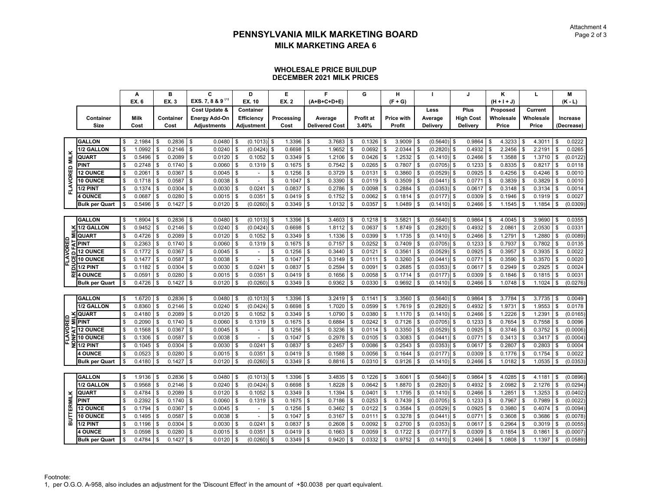#### **WHOLESALE PRICE BUILDUPDECEMBER 2021 MILK PRICES**

|                   |                         |     | A            | в            |              | C                            |      | D                        | E            |               | F                     |              | G         |     | н                 |           |               |          | J                |      | ĸ             |                | L         |              | M          |
|-------------------|-------------------------|-----|--------------|--------------|--------------|------------------------------|------|--------------------------|--------------|---------------|-----------------------|--------------|-----------|-----|-------------------|-----------|---------------|----------|------------------|------|---------------|----------------|-----------|--------------|------------|
|                   |                         |     | <b>EX. 6</b> | EX. 3        |              | EXS. 7, 8 & 9 <sup>(1)</sup> |      | EX. 10                   | EX. 2        |               | (A+B+C+D+E)           |              |           |     | $(F + G)$         |           |               |          |                  |      | $(H + I + J)$ |                |           |              | $(K - L)$  |
|                   |                         |     |              |              |              | Cost Update &                |      | Container                |              |               |                       |              |           |     |                   |           | Less          |          | Plus             |      | Proposed      |                | Current   |              |            |
|                   | Container               |     | <b>Milk</b>  | Container    |              | Energy Add-On                |      | <b>Efficiency</b>        | Processing   |               | Average               |              | Profit at |     | <b>Price with</b> |           | Average       |          | <b>High Cost</b> |      | Wholesale     |                | Wholesale |              | Increase   |
|                   | Size                    |     | Cost         | Cost         |              | <b>Adjustments</b>           |      | Adjustment               | Cost         |               | <b>Delivered Cost</b> |              | 3.40%     |     | Profit            |           | Delivery      |          | Delivery         |      | Price         |                | Price     |              | (Decrease) |
|                   |                         |     |              |              |              |                              |      |                          |              |               |                       |              |           |     |                   |           |               |          |                  |      |               |                |           |              |            |
|                   | <b>GALLON</b>           | \$  | 2.1984       | \$<br>0.2836 | $\mathbf{s}$ | 0.0480                       | -S   | $(0.1013)$ \$            | 1.3396       | $\mathfrak s$ | 3.7683                | \$           | 0.1326    | \$  | 3.9009            | <b>S</b>  | $(0.5640)$ \$ |          | 0.9864           | -\$  | 4.3233        | \$             | 4.3011    | \$           | 0.0222     |
|                   | 1/2 GALLON              | \$  | 1.0992       | \$<br>0.2146 | \$           | 0.0240                       |      | (0.0424)                 | \$<br>0.6698 | $\mathbb S$   | 1.9652                | \$           | 0.0692    |     | 2.0344            | \$        | (0.2820)      | \$       | 0.4932           |      | 2.2456        | \$             | 2.2191    | \$           | 0.0265     |
| <b>MILK</b>       | QUART                   |     | 0.5496       | 0.2089       | \$           | 0.0120                       |      | 0.1052                   | \$<br>0.3349 | \$            | 1.2106                | \$           | 0.0426    |     | 1.2532            | \$        | (0.1410)      | <b>S</b> | 0.2466           |      | 1.3588        | \$             | 1.3710    | \$           | (0.0122)   |
|                   | <b>PINT</b>             |     | 0.2748       | \$<br>0.1740 | l \$         | 0.0060                       | \$   | 0.1319                   | \$<br>0.1675 | \$            | 0.7542                | \$           | 0.0265    | \$  | 0.7807            | - \$      | $(0.0705)$ \$ |          | 0.1233           | \$   | 0.8335        | \$             | 0.8217    | Ŝ.           | 0.0118     |
|                   | <b>12 OUNCE</b>         |     | 0.2061       | \$<br>0.0367 | \$           | 0.0045                       | \$   | $\blacksquare$           | \$<br>0.1256 | \$            | 0.3729                | \$           | 0.0131    | \$  | 0.3860            | \$        | (0.0529)      | \$       | 0.0925           |      | 0.4256        | \$             | 0.4246    | <b>S</b>     | 0.0010     |
|                   | 10 OUNCE                |     | 0.1718       | \$<br>0.0587 | \$           | 0.0038                       |      |                          | \$<br>0.1047 | \$            | 0.3390                | \$           | 0.0119    |     | 0.3509            | \$        | (0.0441)      | - \$     | 0.0771           |      | 0.3839        | \$             | 0.3829    | -S           | 0.0010     |
| FLAVORED          | 1/2 PINT                | \$  | 0.1374       | \$<br>0.0304 | \$           | 0.0030                       |      | 0.0241                   | \$<br>0.0837 | \$            | 0.2786                | \$           | 0.0098    | \$  | 0.2884            | \$        | (0.0353)      | \$       | 0.0617           | \$   | 0.3148        | \$             | 0.3134    | \$           | 0.0014     |
|                   | <b>4 OUNCE</b>          |     | 0.0687       | \$<br>0.0280 | \$           | 0.0015                       |      | 0.0351                   | \$<br>0.0419 | \$            | 0.1752                | \$           | 0.0062    | \$  | 0.1814            | \$        | (0.0177)      | \$       | 0.0309           | \$   | 0.1946        | \$             | 0.1919    | \$           | 0.0027     |
|                   | <b>Bulk per Quart</b>   |     | 0.5496       | \$<br>0.1427 | \$           | 0.0120                       |      | (0.0260)                 | \$<br>0.3349 | \$            | 1.0132                | \$           | 0.0357    |     | 1.0489            | \$        | (0.1410)      | \$       | 0.2466           |      | 1.1545        | \$             | 1.1854    | \$           | (0.0309)   |
|                   |                         |     |              |              |              |                              |      |                          |              |               |                       |              |           |     |                   |           |               |          |                  |      |               |                |           |              |            |
|                   | <b>GALLON</b>           | \$  | 1.8904       | \$<br>0.2836 | \$           | 0.0480                       |      | $(0.1013)$ \$            | 1.3396       | \$            | 3.4603                | \$           | 0.1218    | \$  | 3.5821            | - \$      | (0.5640)      | l \$     | 0.9864           |      | 4.0045        | \$             | 3.9690    | \$           | 0.0355     |
|                   | 1/2 GALLON              |     | 0.9452       | \$<br>0.2146 | \$           | 0.0240                       |      | (0.0424)                 | \$<br>0.6698 | \$            | 1.8112                | \$           | 0.0637    |     | 1.8749            | \$        | (0.2820)      | \$       | 0.4932           |      | 2.0861        | $\mathfrak{S}$ | 2.0530    | <b>S</b>     | 0.0331     |
|                   | QUART                   |     | 0.4726       | \$<br>0.2089 | Ŝ.           | 0.0120                       |      | 0.1052                   | \$<br>0.3349 | \$            | 1.1336                | \$           | 0.0399    |     | 1.1735            | \$        | (0.1410)      | \$       | 0.2466           |      | 1.2791        | \$             | 1.2880    | Ŝ.           | (0.0089)   |
|                   | <b>PINT</b>             |     | 0.2363       | \$<br>0.1740 | \$           | 0.0060                       |      | 0.1319                   | \$<br>0.1675 | \$            | 0.7157                | \$           | 0.0252    | \$  | 0.7409            | \$        | $(0.0705)$ \$ |          | 0.1233           |      | 0.7937        | \$             | 0.7802    | \$           | 0.0135     |
| FLAVORED          | <b>12 OUNCE</b>         |     | 0.1772       | \$<br>0.0367 | \$           | 0.0045                       |      | $\overline{\phantom{a}}$ | \$<br>0.1256 | \$            | 0.3440                | \$           | 0.0121    |     | 0.3561            | \$        | (0.0529)      | \$       | 0.0925           |      | 0.3957        | \$             | 0.3935    | \$           | 0.0022     |
|                   | 10 OUNCE                | \$  | 0.1477       | \$<br>0.0587 | \$           | 0.0038                       |      | $\blacksquare$           | \$<br>0.1047 | \$            | 0.3149                | \$           | 0.0111    | \$. | 0.3260            | \$        | $(0.0441)$ \$ |          | 0.0771           | \$   | 0.3590        | \$             | 0.3570    | \$           | 0.0020     |
| C                 | 1/2 PINT                | \$  | 0.1182       | \$<br>0.0304 | \$           | 0.0030                       |      | 0.0241                   | \$<br>0.0837 | \$            | 0.2594                | \$           | 0.0091    | \$  | 0.2685            | \$        | (0.0353)      | \$       | 0.0617           |      | 0.2949        | \$             | 0.2925    | \$           | 0.0024     |
|                   | <b>4 OUNCE</b>          |     | 0.0591       | \$<br>0.0280 | \$           | 0.0015                       |      | 0.0351                   | \$<br>0.0419 | \$            | 0.1656                | \$           | 0.0058    |     | 0.1714            | \$        | $(0.0177)$ \$ |          | 0.0309           | \$   | 0.1846        | \$             | 0.1815    | \$           | 0.0031     |
|                   | <b>Bulk per Quart</b>   | \$  | 0.4726       | \$<br>0.1427 | \$           | 0.0120                       |      | (0.0260)                 | \$<br>0.3349 | \$            | 0.9362                | \$           | 0.0330    | \$  | 0.9692            | \$        | (0.1410)      | \$       | 0.2466           | \$   | 1.0748        | \$             | 1.1024    | \$           | (0.0276)   |
|                   |                         |     |              |              |              |                              |      |                          |              |               |                       |              |           |     |                   |           |               |          |                  |      |               |                |           |              |            |
|                   | <b>GALLON</b>           | . ፍ | 1.6720       | \$<br>0.2836 | l \$         | 0.0480                       |      | $(0.1013)$ \$            | 1.3396       | \$            | 3.2419                | \$           | 0.1141    |     | 3.3560            | Ŝ.        | (0.5640)      | <b>S</b> | 0.9864           |      | 3.7784        | \$             | 3.7735    | \$           | 0.0049     |
|                   | 1/2 GALLON              | \$  | 0.8360       | \$<br>0.2146 | <b>S</b>     | 0.0240                       |      | (0.0424)                 | \$<br>0.6698 | \$            | 1.7020                | \$           | 0.0599    | \$  | 1.7619            | \$        | (0.2820)      | \$       | 0.4932           | \$   | 1.9731        | \$             | 1.9553    | \$           | 0.0178     |
|                   | QUART                   | \$  | 0.4180       | \$<br>0.2089 | \$           | 0.0120                       |      | 0.1052                   | \$<br>0.3349 | \$            | 1.0790                | \$           | 0.0380    |     | 1.1170            | \$        | (0.1410)      | \$       | 0.2466           |      | 1.2226        | \$             | 1.2391    | \$           | (0.0165)   |
| FLAVORED          | $\overline{\Xi}$ PINT   |     | 0.2090       | \$<br>0.1740 | \$           | 0.0060                       |      | 0.1319                   | \$<br>0.1675 | \$            | 0.6884                | \$           | 0.0242    |     | 0.7126            | \$        | (0.0705)      | \$       | 0.1233           |      | 0.7654        | \$             | 0.7558    | Ŝ.           | 0.0096     |
|                   | 됩12 OUNCE               |     | 0.1568       | \$<br>0.0367 | \$           | 0.0045                       | \$   | $\overline{\phantom{a}}$ | \$<br>0.1256 | \$            | 0.3236                | \$           | 0.0114    | \$  | 0.3350            | \$        | (0.0529)      | \$       | 0.0925           | \$   | 0.3746        | \$             | 0.3752    | Ŝ.           | (0.0006)   |
| Ξ                 | 10 OUNCE                | \$  | 0.1306       | \$<br>0.0587 | \$           | 0.0038                       |      | $\sim$                   | \$<br>0.1047 | $\mathbb S$   | 0.2978                | \$           | 0.0105    | \$. | 0.3083            | \$        | (0.0441)      | - \$     | 0.0771           |      | 0.3413        | \$             | 0.3417    | \$           | (0.0004)   |
|                   | $\overline{2}$ 1/2 PINT |     | 0.1045       | \$<br>0.0304 | \$           | 0.0030                       |      | 0.0241                   | \$<br>0.0837 | \$            | 0.2457                | \$           | 0.0086    |     | 0.2543            | \$        | (0.0353)      | \$       | 0.0617           | \$   | 0.2807        | \$             | 0.2803    | $\mathbf{s}$ | 0.0004     |
|                   | <b>4 OUNCE</b>          |     | 0.0523       | \$<br>0.0280 | \$           | 0.0015                       |      | 0.0351                   | \$<br>0.0419 | \$            | 0.1588                | \$           | 0.0056    | Æ   | 0.1644            | \$        | $(0.0177)$ \$ |          | 0.0309           | \$   | 0.1776        | \$             | 0.1754    | \$           | 0.0022     |
|                   | <b>Bulk per Quart</b>   | \$  | 0.4180       | \$<br>0.1427 | \$           | 0.0120                       |      | $(0.0260)$ \$            | 0.3349       | \$            | 0.8816                | \$           | 0.0310    | \$  | 0.9126            | \$        | $(0.1410)$ \$ |          | 0.2466           | \$   | 1.0182        | \$             | 1.0535    | \$           | (0.0353)   |
|                   |                         |     |              |              |              |                              |      |                          |              |               |                       |              |           |     |                   |           |               |          |                  |      |               |                |           |              |            |
|                   | <b>GALLON</b>           | \$  | 1.9136       | \$<br>0.2836 | \$           | 0.0480                       |      | $(0.1013)$ \$            | 1.3396       | \$            | 3.4835                | \$           | 0.1226    | \$  | 3.6061            | \$        | (0.5640)      | \$       | 0.9864           | - 35 | 4.0285        | \$             | 4.1181    | \$           | (0.0896)   |
|                   | 1/2 GALLON              | \$  | 0.9568       | \$<br>0.2146 | \$           | 0.0240                       |      | (0.0424)                 | \$<br>0.6698 | \$            | 1.8228                | \$           | 0.0642    |     | 1.8870            | \$        | (0.2820)      | \$       | 0.4932           |      | 2.0982        | \$             | 2.1276    | \$           | (0.0294)   |
|                   | QUART                   |     | 0.4784       | \$<br>0.2089 | \$           | 0.0120                       |      | 0.1052                   | \$<br>0.3349 | \$            | 1.1394                | \$           | 0.0401    | \$  | 1.1795            | \$        | (0.1410)      | \$       | 0.2466           | \$   | 1.2851        | \$             | 1.3253    | \$           | (0.0402)   |
|                   | PINT                    |     | 0.2392       | \$<br>0.1740 | - \$         | 0.0060                       |      | 0.1319                   | \$<br>0.1675 | \$            | 0.7186                | \$           | 0.0253    |     | 0.7439            | \$        | (0.0705)      | \$       | 0.1233           |      | 0.7967        | \$             | 0.7989    | \$           | (0.0022)   |
| <b>BUTTERMILK</b> | <b>12 OUNCE</b>         |     | 0.1794       | \$<br>0.0367 | \$           | 0.0045                       |      | $\overline{\phantom{a}}$ | \$<br>0.1256 | \$            | 0.3462                | \$           | 0.0122    |     | 0.3584            | \$        | (0.0529)      | - \$     | 0.0925           |      | 0.3980        | \$             | 0.4074    | \$           | (0.0094)   |
|                   | 10 OUNCE                | \$  | 0.1495       | \$<br>0.0587 | - \$         | 0.0038                       | Ŝ.   | $\blacksquare$           | \$<br>0.1047 | \$            | 0.3167                | \$           | 0.0111    | \$  | 0.3278            | <b>S</b>  | $(0.0441)$ \$ |          | 0.0771           | \$   | 0.3608        | $\mathfrak s$  | 0.3686    | \$           | (0.0078)   |
|                   | 1/2 PINT                |     | 0.1196       | \$<br>0.0304 | \$           | 0.0030                       |      | 0.0241                   | \$<br>0.0837 | \$            | 0.2608                | \$           | 0.0092    |     | 0.2700            | \$        | (0.0353)      | -S       | 0.0617           |      | 0.2964        | \$             | 0.3019    | \$           | (0.0055)   |
|                   | <b>4 OUNCE</b>          |     | 0.0598       | \$<br>0.0280 | \$           | 0.0015                       |      | 0.0351                   | \$<br>0.0419 | \$            | 0.1663                | \$           | 0.0059    |     | 0.1722            | \$        | (0.0177)      | \$       | 0.0309           |      | 0.1854        | \$             | 0.1861    | \$           | (0.0007)   |
|                   | <b>Bulk per Quart</b>   | \$  | 0.4784       | \$<br>0.1427 | <b>\$</b>    | 0.0120                       | l \$ | (0.0260)                 | \$<br>0.3349 | $\sqrt{3}$    | 0.9420                | $\mathbb{S}$ | 0.0332    | \$  | 0.9752            | <b>\$</b> | $(0.1410)$ \$ |          | 0.2466           | \$   | 1.0808        | $\mathfrak s$  | 1.1397    | \$           | (0.0589)   |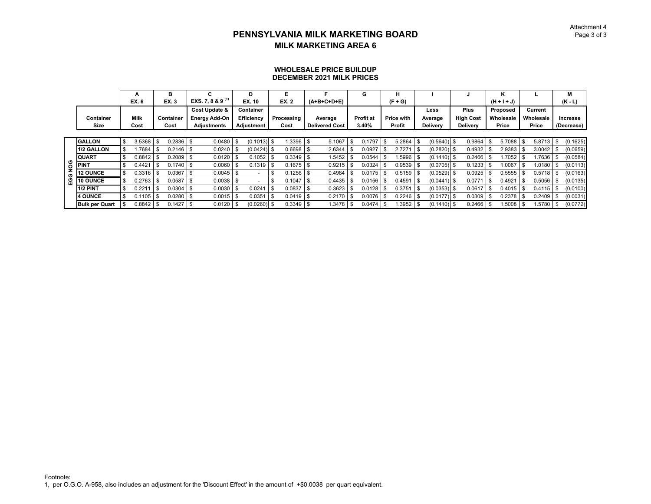#### **WHOLESALE PRICE BUILDUPDECEMBER 2021 MILK PRICES**

|         |                       |      | А           |      | в           | c                            | D                   | Е           |      |                       | G                | н           |      |                 |                  | ĸ             |             |            | M          |
|---------|-----------------------|------|-------------|------|-------------|------------------------------|---------------------|-------------|------|-----------------------|------------------|-------------|------|-----------------|------------------|---------------|-------------|------------|------------|
|         |                       |      | EX. 6       |      | EX. 3       | EXS. 7, 8 & 9 <sup>(1)</sup> | EX. 10              | <b>EX.2</b> |      | $(A+B+C+D+E)$         |                  | $(F+G)$     |      |                 |                  | $(H + I + J)$ |             |            | $(K - L)$  |
|         |                       |      |             |      |             | Cost Update &                | Container           |             |      |                       |                  |             |      | Less            | <b>Plus</b>      | Proposed      | Current     |            |            |
|         | Container             |      | <b>Milk</b> |      | Container   | <b>Energy Add-On</b>         | <b>Efficiency</b>   | Processing  |      | Average               | <b>Profit at</b> | Price with  |      | Average         | <b>High Cost</b> | Wholesale     | Wholesale   |            | Increase   |
|         | Size                  |      | Cost        |      | Cost        | <b>Adjustments</b>           | Adjustment          | Cost        |      | <b>Delivered Cost</b> | 3.40%            | Profit      |      | <b>Delivery</b> | <b>Delivery</b>  | Price         | Price       |            | (Decrease) |
|         |                       |      |             |      |             |                              |                     |             |      |                       |                  |             |      |                 |                  |               |             |            |            |
|         | <b>GALLON</b>         | \$   | 3.5368      | -S   | $0.2836$ \$ | 0.0480                       | \$<br>$(0.1013)$ \$ | 1.3396      | l \$ | 5.1067                | 0.1797           | 5.2864      | \$   | $(0.5640)$ \$   | 0.9864           | 5.7088        | 5.8713      | $\sqrt{3}$ | (0.1625)   |
|         | 1/2 GALLON            | \$   | .7684       |      | $0.2146$ \$ | $0.0240$ \$                  | $(0.0424)$ \$       | $0.6698$ \$ |      | 2.6344                | 0.0927           | 2.7271      | £    | $(0.2820)$ \$   | 0.4932           | 2.9383        | 3.0042      |            | (0.0659)   |
|         | <b>QUART</b>          | \$   | 0.8842      | -\$  | $0.2089$ \$ | $0.0120$ \$                  | 0.1052              | 0.3349      |      | 1.5452                | 0.0544           | $.5996$ \$  |      | $(0.1410)$ \$   | 0.2466           | 1.7052 l      | $1.7636$ S  |            | (0.0584)   |
| $\circ$ | <b>PINT</b>           | Ŝ.   | 0.4421      |      | $0.1740$ \$ | $0.0060$ \$                  | $0.1319$ \$         | 0.1675      |      | 0.9215                | 0.0324           | $0.9539$ \$ |      | $(0.0705)$ \$   | 0.1233           | 1.0067        | 1.0180      |            | (0.0113)   |
|         | <b>12 OUNCE</b>       | \$   | 0.3316      | - \$ | 0.0367      | $0.0045$ \$                  |                     | 0.1256      |      | 0.4984                | 0.0175           | $0.5159$ \$ |      | $(0.0529)$ \$   | 0.0925           | 0.5555        | $0.5718$ \$ |            | (0.0163)   |
| Ğ       | 10 OUNCE              | -S   | 0.2763      |      | 0.0587      | $0.0038$ \$                  |                     | 0.1047      |      | 0.4435                | 0.0156           | 0.4591      |      | $(0.0441)$ \$   | 0.0771           | 0.4921        | 0.5056      |            | (0.0135)   |
|         | 1/2 PINT              | \$   | 0.2211      | -S   | 0.0304      | $0.0030$ \ \$                | 0.0241              | 0.0837      |      | 0.3623                | 0.0128           | 0.3751      | l \$ | $(0.0353)$ \$   | 0.0617           | 0.4015        | 0.4115      | 1 \$       | (0.0100)   |
|         | <b>4 OUNCE</b>        | -S   | 0.1105      | Ŝ.   | $0.0280$ \$ | $0.0015$ \$                  | 0.0351              | 0.0419      |      | 0.2170                | 0.0076           | 0.2246      |      | $(0.0177)$ \$   | 0.0309           | 0.2378        | 0.2409      |            | (0.0031)   |
|         | <b>Bulk per Quart</b> | - \$ | 0.8842      |      | 0.1427      | $0.0120$ \$                  | $(0.0260)$ \$       | 0.3349      |      | 1.3478                | \$<br>0.0474     | .3952       |      | $(0.1410)$ \$   | 0.2466           | .5008         | 1.5780      |            | (0.0772)   |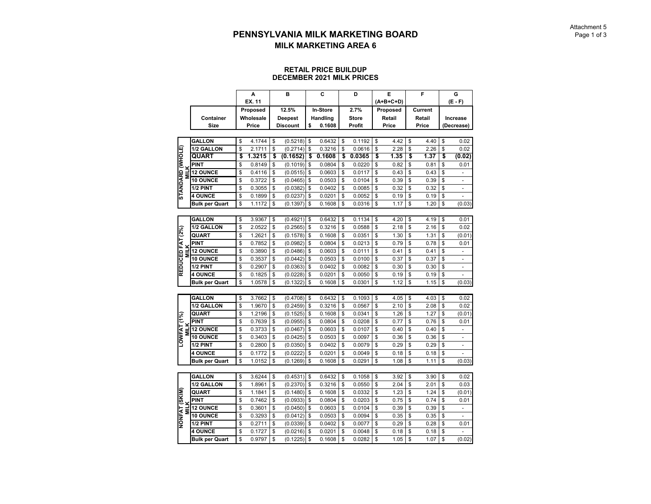#### **RETAIL PRICE BUILDUPDECEMBER 2021 MILK PRICES**

|                                 |                       | А            |          | B                                 | C            | D            | E           | F          | G                              |
|---------------------------------|-----------------------|--------------|----------|-----------------------------------|--------------|--------------|-------------|------------|--------------------------------|
|                                 |                       | EX. 11       |          |                                   |              |              | $(A+B+C+D)$ |            | $(E - F)$                      |
|                                 |                       | Proposed     |          | 12.5%                             | In-Store     | 2.7%         | Proposed    | Current    |                                |
|                                 | Container             | Wholesale    |          |                                   | Handling     | <b>Store</b> | Retail      | Retail     | Increase                       |
|                                 | Size                  | Price        |          | <b>Deepest</b><br><b>Discount</b> | \$<br>0.1608 | Profit       | Price       | Price      | (Decrease)                     |
|                                 |                       |              |          |                                   |              |              |             |            |                                |
|                                 | <b>GALLON</b>         | \$<br>4.1744 | \$       | (0.5218)                          | \$<br>0.6432 | \$<br>0.1192 | \$<br>4.42  | \$<br>4.40 | \$<br>0.02                     |
|                                 |                       | \$           |          |                                   |              |              | 2.28        |            |                                |
|                                 | 1/2 GALLON            | \$<br>2.1711 | \$<br>\$ | (0.2714)                          | \$<br>0.3216 | \$<br>0.0616 | \$          | \$<br>2.26 | \$<br>0.02                     |
|                                 | QUART                 | 1.3215       |          | (0.1652)                          | \$<br>0.1608 | \$<br>0.0365 | \$<br>1.35  | \$<br>1.37 | \$<br>(0.02)                   |
|                                 | PINT                  | \$<br>0.8149 | \$       | (0.1019)                          | \$<br>0.0804 | \$<br>0.0220 | \$<br>0.82  | \$<br>0.81 | \$<br>0.01                     |
| STANDARD (WHOLE)<br><b>MILK</b> | <b>12 OUNCE</b>       | \$<br>0.4116 | \$       | (0.0515)                          | \$<br>0.0603 | \$<br>0.0117 | \$<br>0.43  | \$<br>0.43 | \$<br>$\overline{a}$           |
|                                 | <b>10 OUNCE</b>       | \$<br>0.3722 | \$       | (0.0465)                          | \$<br>0.0503 | \$<br>0.0104 | \$<br>0.39  | \$<br>0.39 | \$<br>$\overline{a}$           |
|                                 | 1/2 PINT              | \$<br>0.3055 | \$       | (0.0382)                          | \$<br>0.0402 | \$<br>0.0085 | \$<br>0.32  | \$<br>0.32 | \$                             |
|                                 | <b>4 OUNCE</b>        | \$<br>0.1899 | \$       | (0.0237)                          | \$<br>0.0201 | \$<br>0.0052 | \$<br>0.19  | \$<br>0.19 | \$<br>$\overline{a}$           |
|                                 | <b>Bulk per Quart</b> | \$<br>1.1172 | \$       | (0.1397)                          | \$<br>0.1608 | \$<br>0.0316 | \$<br>1.17  | \$<br>1.20 | \$<br>(0.03)                   |
|                                 |                       |              |          |                                   |              |              |             |            |                                |
|                                 | <b>GALLON</b>         | \$<br>3.9367 | \$       | (0.4921)                          | \$<br>0.6432 | \$<br>0.1134 | \$<br>4.20  | \$<br>4.19 | \$<br>0.01                     |
|                                 | 1/2 GALLON            | \$<br>2.0522 | \$       | (0.2565)                          | \$<br>0.3216 | \$<br>0.0588 | \$<br>2.18  | \$<br>2.16 | \$<br>0.02                     |
| REDUCED FAT (2%)                | <b>QUART</b>          | \$<br>1.2621 | \$       | (0.1578)                          | \$<br>0.1608 | \$<br>0.0351 | \$<br>1.30  | \$<br>1.31 | \$<br>(0.01)                   |
|                                 | <b>PINT</b>           | \$<br>0.7852 | \$       | (0.0982)                          | \$<br>0.0804 | \$<br>0.0213 | \$<br>0.79  | \$<br>0.78 | \$<br>0.01                     |
| <b>MILK</b>                     | <b>12 OUNCE</b>       | \$<br>0.3890 | \$       | (0.0486)                          | \$<br>0.0603 | \$<br>0.0111 | \$<br>0.41  | \$<br>0.41 | \$<br>$\overline{a}$           |
|                                 | <b>10 OUNCE</b>       | \$<br>0.3537 | \$       | (0.0442)                          | \$<br>0.0503 | \$<br>0.0100 | \$<br>0.37  | \$<br>0.37 | \$                             |
|                                 | 1/2 PINT              | \$<br>0.2907 | \$       | (0.0363)                          | \$<br>0.0402 | \$<br>0.0082 | \$<br>0.30  | \$<br>0.30 | \$<br>$\overline{\phantom{a}}$ |
|                                 | <b>4 OUNCE</b>        | \$<br>0.1825 | \$       | (0.0228)                          | \$<br>0.0201 | \$<br>0.0050 | \$<br>0.19  | \$<br>0.19 | \$<br>÷                        |
|                                 | <b>Bulk per Quart</b> | \$<br>1.0578 | \$       | (0.1322)                          | \$<br>0.1608 | \$<br>0.0301 | \$<br>1.12  | \$<br>1.15 | \$<br>(0.03)                   |
|                                 |                       |              |          |                                   |              |              |             |            |                                |
|                                 | <b>GALLON</b>         | \$<br>3.7662 | \$       | (0.4708)                          | \$<br>0.6432 | \$<br>0.1093 | \$<br>4.05  | \$<br>4.03 | \$<br>0.02                     |
|                                 | <b>1/2 GALLON</b>     | \$<br>1.9670 | \$       | (0.2459)                          | \$<br>0.3216 | \$<br>0.0567 | \$<br>2.10  | \$<br>2.08 | \$<br>0.02                     |
|                                 | QUART                 | \$<br>1.2196 | \$       | (0.1525)                          | \$<br>0.1608 | \$<br>0.0341 | \$<br>1.26  | \$<br>1.27 | \$<br>(0.01)                   |
|                                 | PINT                  | \$<br>0.7639 | \$       | (0.0955)                          | \$<br>0.0804 | \$<br>0.0208 | \$<br>0.77  | \$<br>0.76 | \$<br>0.01                     |
| <b>MILK</b>                     | <b>12 OUNCE</b>       | \$<br>0.3733 | \$       | (0.0467)                          | \$<br>0.0603 | \$<br>0.0107 | \$<br>0.40  | \$<br>0.40 | \$                             |
| LOWFAT (1%)                     | <b>10 OUNCE</b>       | \$<br>0.3403 | \$       | (0.0425)                          | \$<br>0.0503 | \$<br>0.0097 | \$<br>0.36  | \$<br>0.36 | \$<br>$\frac{1}{2}$            |
|                                 | 1/2 PINT              | \$<br>0.2800 | \$       | (0.0350)                          | \$<br>0.0402 | \$<br>0.0079 | \$<br>0.29  | \$<br>0.29 | \$<br>÷                        |
|                                 | <b>4 OUNCE</b>        | \$<br>0.1772 | \$       | (0.0222)                          | \$<br>0.0201 | \$<br>0.0049 | \$<br>0.18  | \$<br>0.18 | \$<br>٠                        |
|                                 | <b>Bulk per Quart</b> | \$<br>1.0152 | \$       | (0.1269)                          | \$<br>0.1608 | \$<br>0.0291 | \$<br>1.08  | \$<br>1.11 | \$<br>(0.03)                   |
|                                 |                       |              |          |                                   |              |              |             |            |                                |
|                                 | <b>GALLON</b>         | \$<br>3.6244 | \$       | (0.4531)                          | \$<br>0.6432 | \$<br>0.1058 | \$<br>3.92  | \$<br>3.90 | \$<br>0.02                     |
|                                 | <b>1/2 GALLON</b>     | \$<br>1.8961 | \$       | (0.2370)                          | \$<br>0.3216 | \$<br>0.0550 | \$<br>2.04  | \$<br>2.01 | \$<br>0.03                     |
|                                 | QUART                 | \$<br>1.1841 | \$       | (0.1480)                          | \$<br>0.1608 | \$<br>0.0332 | \$<br>1.23  | \$<br>1.24 | \$<br>(0.01)                   |
|                                 | <b>PINT</b>           | \$<br>0.7462 | \$       | (0.0933)                          | \$<br>0.0804 | \$<br>0.0203 | \$<br>0.75  | \$<br>0.74 | \$<br>0.01                     |
| NONFAT (SKIM)<br>MILK           | <b>12 OUNCE</b>       | \$<br>0.3601 | \$       | (0.0450)                          | \$<br>0.0603 | \$<br>0.0104 | \$<br>0.39  | \$<br>0.39 | \$<br>÷,                       |
|                                 | <b>10 OUNCE</b>       | \$<br>0.3293 | \$       | (0.0412)                          | \$<br>0.0503 | \$<br>0.0094 | \$<br>0.35  | \$<br>0.35 | \$                             |
|                                 | 1/2 PINT              | \$<br>0.2711 | \$       | (0.0339)                          | \$<br>0.0402 | \$<br>0.0077 | \$<br>0.29  | \$<br>0.28 | \$<br>0.01                     |
|                                 | <b>4 OUNCE</b>        | \$<br>0.1727 | \$       | (0.0216)                          | \$<br>0.0201 | \$<br>0.0048 | \$<br>0.18  | \$<br>0.18 | \$                             |
|                                 | <b>Bulk per Quart</b> | \$<br>0.9797 | \$       | (0.1225)                          | \$<br>0.1608 | \$<br>0.0282 | \$<br>1.05  | \$<br>1.07 | \$<br>(0.02)                   |
|                                 |                       |              |          |                                   |              |              |             |            |                                |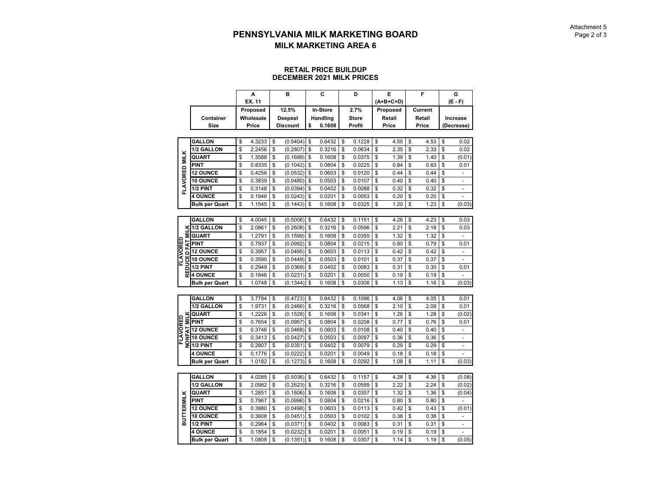#### **RETAIL PRICE BUILDUPDECEMBER 2021 MILK PRICES**

|                      |                       | A            | B               | C            | D            | E          | F            | G                    |
|----------------------|-----------------------|--------------|-----------------|--------------|--------------|------------|--------------|----------------------|
|                      |                       | EX. 11       |                 |              |              | (A+B+C+D)  |              | $(E - F)$            |
|                      |                       | Proposed     | 12.5%           | In-Store     | 2.7%         | Proposed   | Current      |                      |
|                      | Container             | Wholesale    | <b>Deepest</b>  | Handling     | <b>Store</b> | Retail     | Retail       | Increase             |
|                      | Size                  | Price        | <b>Discount</b> | \$<br>0.1608 | Profit       | Price      | <b>Price</b> | (Decrease)           |
|                      |                       |              |                 |              |              |            |              |                      |
|                      | <b>GALLON</b>         | \$<br>4.3233 | \$<br>(0.5404)  | \$<br>0.6432 | \$<br>0.1228 | \$<br>4.55 | \$<br>4.53   | \$<br>0.02           |
|                      | 1/2 GALLON            | \$<br>2.2456 | \$<br>(0.2807)  | \$<br>0.3216 | \$<br>0.0634 | \$<br>2.35 | \$<br>2.33   | \$<br>0.02           |
| <b>FLAVORED MILK</b> | QUART                 | \$<br>1.3588 | \$<br>(0.1699)  | \$<br>0.1608 | \$<br>0.0375 | \$<br>1.39 | \$<br>1.40   | \$<br>(0.01)         |
|                      | <b>PINT</b>           | \$<br>0.8335 | \$<br>(0.1042)  | \$<br>0.0804 | \$<br>0.0225 | \$<br>0.84 | \$<br>0.83   | \$<br>0.01           |
|                      | <b>12 OUNCE</b>       | \$<br>0.4256 | \$<br>(0.0532)  | \$<br>0.0603 | \$<br>0.0120 | \$<br>0.44 | \$<br>0.44   | \$<br>$\overline{a}$ |
|                      | 10 OUNCE              | \$<br>0.3839 | \$<br>(0.0480)  | \$<br>0.0503 | \$<br>0.0107 | \$<br>0.40 | \$<br>0.40   | \$                   |
|                      | 1/2 PINT              | \$<br>0.3148 | \$<br>(0.0394)  | \$<br>0.0402 | \$<br>0.0088 | \$<br>0.32 | \$<br>0.32   | \$                   |
|                      | <b>4 OUNCE</b>        | \$<br>0.1946 | \$<br>(0.0243)  | \$<br>0.0201 | \$<br>0.0053 | \$<br>0.20 | \$<br>0.20   | \$<br>$\overline{a}$ |
|                      | <b>Bulk per Quart</b> | \$<br>1.1545 | \$<br>(0.1443)  | \$<br>0.1608 | \$<br>0.0325 | \$<br>1.20 | \$<br>1.23   | \$<br>(0.03)         |
|                      |                       |              |                 |              |              |            |              |                      |
|                      | <b>GALLON</b>         | \$<br>4.0045 | \$<br>(0.5006)  | \$<br>0.6432 | \$<br>0.1151 | \$<br>4.26 | \$<br>4.23   | \$<br>0.03           |
| ž                    | 1/2 GALLON            | \$<br>2.0861 | \$<br>(0.2608)  | \$<br>0.3216 | \$<br>0.0596 | \$<br>2.21 | \$<br>2.18   | \$<br>0.03           |
| Σ                    | <b>QUART</b>          | \$<br>1.2791 | \$<br>(0.1599)  | \$<br>0.1608 | \$<br>0.0355 | \$<br>1.32 | \$<br>1.32   | \$                   |
| AVORED<br>FAT        | PINT                  | \$<br>0.7937 | \$<br>(0.0992)  | \$<br>0.0804 | \$<br>0.0215 | \$<br>0.80 | \$<br>0.79   | \$<br>0.01           |
| ۵                    | <b>12 OUNCE</b>       | \$<br>0.3957 | \$<br>(0.0495)  | \$<br>0.0603 | \$<br>0.0113 | \$<br>0.42 | \$<br>0.42   | \$<br>÷              |
| ᄄ                    | 10 OUNCE              | \$<br>0.3590 | \$<br>(0.0449)  | \$<br>0.0503 | \$<br>0.0101 | \$<br>0.37 | \$<br>0.37   | \$                   |
| REDUC                | 1/2 PINT              | \$<br>0.2949 | \$<br>(0.0369)  | \$<br>0.0402 | \$<br>0.0083 | \$<br>0.31 | \$<br>0.30   | \$<br>0.01           |
|                      | <b>4 OUNCE</b>        | \$<br>0.1846 | \$<br>(0.0231)  | \$<br>0.0201 | \$<br>0.0050 | \$<br>0.19 | \$<br>0.19   | \$                   |
|                      | <b>Bulk per Quart</b> | \$<br>1.0748 | \$<br>(0.1344)  | \$<br>0.1608 | \$<br>0.0306 | \$<br>1.13 | \$<br>1.16   | \$<br>(0.03)         |
|                      |                       |              |                 |              |              |            |              |                      |
|                      | <b>GALLON</b>         | \$<br>3.7784 | \$<br>(0.4723)  | \$<br>0.6432 | \$<br>0.1096 | \$<br>4.06 | \$<br>4.05   | \$<br>0.01           |
|                      | 1/2 GALLON            | \$<br>1.9731 | \$<br>(0.2466)  | \$<br>0.3216 | \$<br>0.0568 | \$<br>2.10 | \$<br>2.09   | \$<br>0.01           |
| <b>MILK</b>          | <b>QUART</b>          | \$<br>1.2226 | \$<br>(0.1528)  | \$<br>0.1608 | \$<br>0.0341 | \$<br>1.26 | \$<br>1.28   | \$<br>(0.02)         |
| FLAVORED             | <b>PINT</b>           | \$<br>0.7654 | \$<br>(0.0957)  | \$<br>0.0804 | \$<br>0.0208 | \$<br>0.77 | \$<br>0.76   | \$<br>0.01           |
| 5                    | <b>12 OUNCE</b>       | \$<br>0.3746 | \$<br>(0.0468)  | \$<br>0.0603 | \$<br>0.0108 | \$<br>0.40 | \$<br>0.40   | \$                   |
| NOME)                | 10 OUNCE              | \$<br>0.3413 | \$<br>(0.0427)  | \$<br>0.0503 | \$<br>0.0097 | \$<br>0.36 | \$<br>0.36   | \$<br>$\overline{a}$ |
|                      | 1/2 PINT              | \$<br>0.2807 | \$<br>(0.0351)  | \$<br>0.0402 | \$<br>0.0079 | \$<br>0.29 | \$<br>0.29   | \$<br>-              |
|                      | <b>4 OUNCE</b>        | \$<br>0.1776 | \$<br>(0.0222)  | \$<br>0.0201 | \$<br>0.0049 | \$<br>0.18 | \$<br>0.18   | \$<br>$\overline{a}$ |
|                      | <b>Bulk per Quart</b> | \$<br>1.0182 | \$<br>(0.1273)  | \$<br>0.1608 | \$<br>0.0292 | \$<br>1.08 | \$<br>1.11   | \$<br>(0.03)         |
|                      |                       |              |                 |              |              |            |              |                      |
|                      | <b>GALLON</b>         | \$<br>4.0285 | \$<br>(0.5036)  | \$<br>0.6432 | \$<br>0.1157 | \$<br>4.28 | \$<br>4.36   | \$<br>(0.08)         |
|                      | 1/2 GALLON            | \$<br>2.0982 | \$<br>(0.2623)  | \$<br>0.3216 | \$<br>0.0599 | \$<br>2.22 | \$<br>2.24   | \$<br>(0.02)         |
|                      | QUART                 | \$<br>1.2851 | \$<br>(0.1606)  | \$<br>0.1608 | \$<br>0.0357 | \$<br>1.32 | \$<br>1.36   | \$<br>(0.04)         |
|                      | <b>PINT</b>           | \$<br>0.7967 | \$<br>(0.0996)  | \$<br>0.0804 | \$<br>0.0216 | \$<br>0.80 | \$<br>0.80   | \$                   |
|                      | <b>12 OUNCE</b>       | \$<br>0.3980 | \$<br>(0.0498)  | \$<br>0.0603 | \$<br>0.0113 | \$<br>0.42 | \$<br>0.43   | \$<br>(0.01)         |
| <b>BUTTERMILK</b>    | 10 OUNCE              | \$<br>0.3608 | \$<br>(0.0451)  | \$<br>0.0503 | \$<br>0.0102 | \$<br>0.38 | \$<br>0.38   | \$                   |
|                      | 1/2 PINT              | \$<br>0.2964 | \$<br>(0.0371)  | \$<br>0.0402 | \$<br>0.0083 | \$<br>0.31 | \$<br>0.31   | \$<br>÷,             |
|                      | <b>4 OUNCE</b>        | \$<br>0.1854 | \$<br>(0.0232)  | \$<br>0.0201 | \$<br>0.0051 | \$<br>0.19 | \$<br>0.19   | \$                   |
|                      | <b>Bulk per Quart</b> | \$<br>1.0808 | \$<br>(0.1351)  | \$<br>0.1608 | \$<br>0.0307 | \$<br>1.14 | \$<br>1.19   | \$<br>(0.05)         |